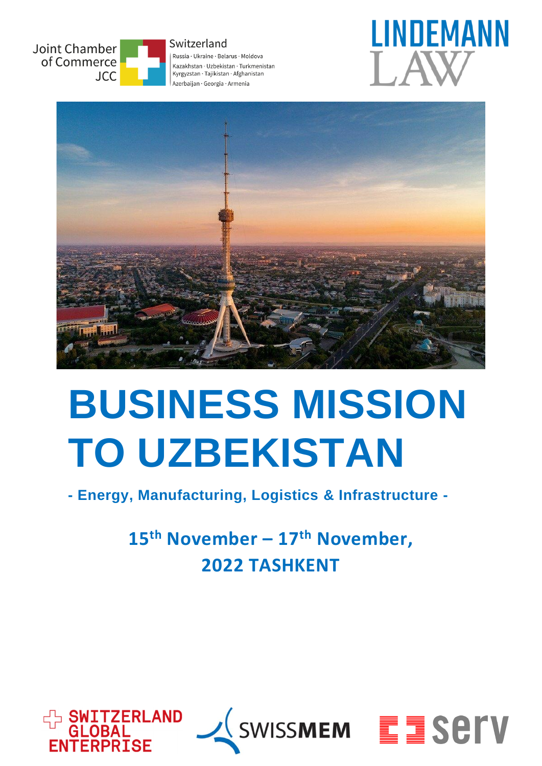









# **BUSINESS MISSION TO UZBEKISTAN**

**- Energy, Manufacturing, Logistics & Infrastructure -**

## **15th November – 17th November, 2022 TASHKENT**





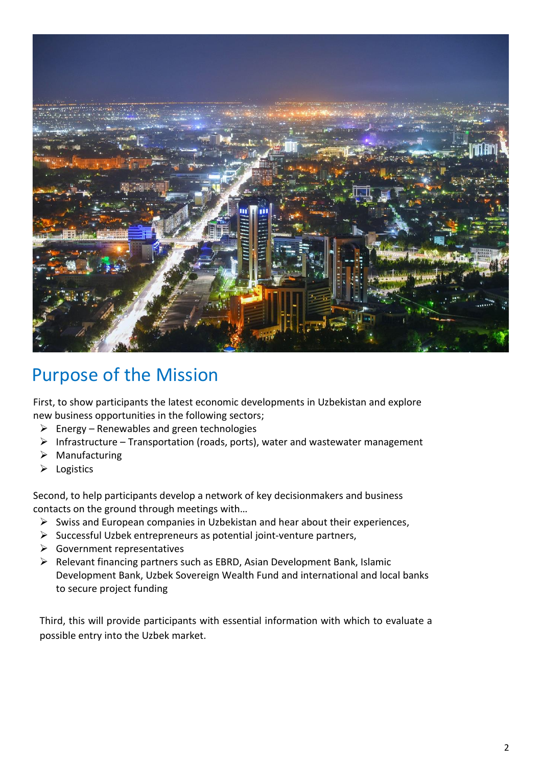

## Purpose of the Mission

First, to show participants the latest economic developments in Uzbekistan and explore new business opportunities in the following sectors;

- $\triangleright$  Energy Renewables and green technologies
- $\triangleright$  Infrastructure Transportation (roads, ports), water and wastewater management
- ➢ Manufacturing
- ➢ Logistics

Second, to help participants develop a network of key decisionmakers and business contacts on the ground through meetings with…

- ➢ Swiss and European companies in Uzbekistan and hear about their experiences,
- ➢ Successful Uzbek entrepreneurs as potential joint-venture partners,
- ➢ Government representatives
- ➢ Relevant financing partners such as EBRD, Asian Development Bank, Islamic Development Bank, Uzbek Sovereign Wealth Fund and international and local banks to secure project funding

Third, this will provide participants with essential information with which to evaluate a possible entry into the Uzbek market.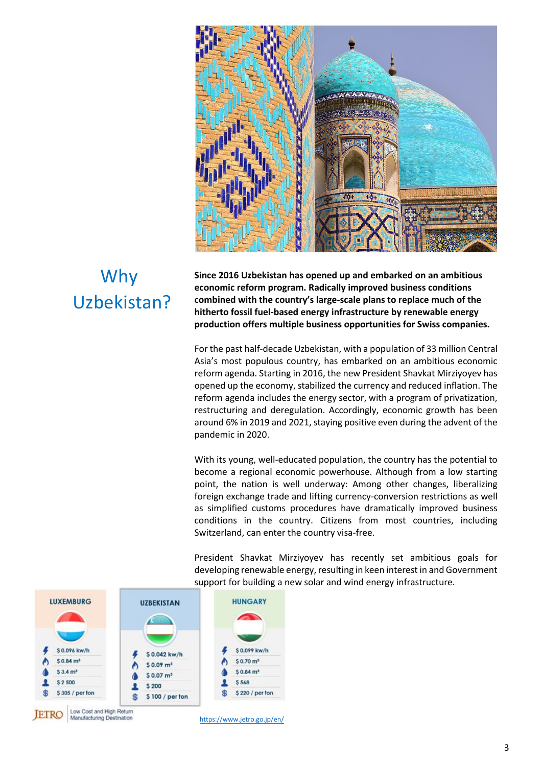

## Why Uzbekistan?

**Since 2016 Uzbekistan has opened up and embarked on an ambitious economic reform program. Radically improved business conditions combined with the country's large-scale plans to replace much of the hitherto fossil fuel-based energy infrastructure by renewable energy production offers multiple business opportunities for Swiss companies.**

For the past half-decade Uzbekistan, with a population of 33 million Central Asia's most populous country, has embarked on an ambitious economic reform agenda. Starting in 2016, the new President Shavkat Mirziyoyev has opened up the economy, stabilized the currency and reduced inflation. The reform agenda includes the energy sector, with a program of privatization, restructuring and deregulation. Accordingly, economic growth has been around 6% in 2019 and 2021, staying positive even during the advent of the pandemic in 2020.

With its young, well-educated population, the country has the potential to become a regional economic powerhouse. Although from a low starting point, the nation is well underway: Among other changes, liberalizing foreign exchange trade and lifting currency-conversion restrictions as well as simplified customs procedures have dramatically improved business conditions in the country. Citizens from most countries, including Switzerland, can enter the country visa-free.

President Shavkat Mirziyoyev has recently set ambitious goals for developing renewable energy, resulting in keen interest in and Government support for building a new solar and wind energy infrastructure.



<https://www.jetro.go.jp/en/>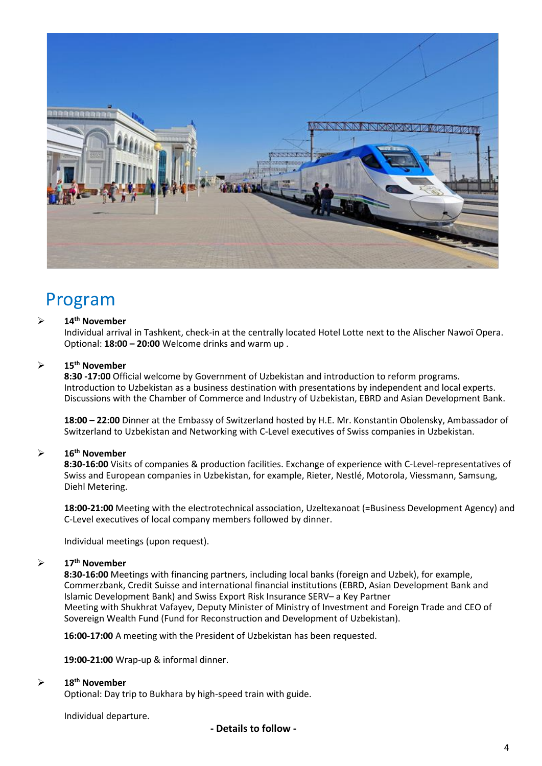

### Program

#### ➢ **14th November**

Individual arrival in Tashkent, check-in at the centrally located Hotel Lotte next to the Alischer Nawoï Opera. Optional: **18:00 – 20:00** Welcome drinks and warm up .

#### ➢ **15th November**

**8:30 -17:00** Official welcome by Government of Uzbekistan and introduction to reform programs. Introduction to Uzbekistan as a business destination with presentations by independent and local experts. Discussions with the Chamber of Commerce and Industry of Uzbekistan, EBRD and Asian Development Bank.

**18:00 – 22:00** Dinner at the Embassy of Switzerland hosted by H.E. Mr. Konstantin Obolensky, Ambassador of Switzerland to Uzbekistan and Networking with C-Level executives of Swiss companies in Uzbekistan.

#### ➢ **16th November**

**8:30-16:00** Visits of companies & production facilities. Exchange of experience with C-Level-representatives of Swiss and European companies in Uzbekistan, for example, Rieter, Nestlé, Motorola, Viessmann, Samsung, Diehl Metering.

**18:00-21:00** Meeting with the electrotechnical association, Uzeltexanoat (=Business Development Agency) and C-Level executives of local company members followed by dinner.

Individual meetings (upon request).

#### ➢ **17th November**

**8:30-16:00** Meetings with financing partners, including local banks (foreign and Uzbek), for example, Commerzbank, Credit Suisse and international financial institutions (EBRD, Asian Development Bank and Islamic Development Bank) and Swiss Export Risk Insurance SERV– a Key Partner Meeting with Shukhrat Vafayev, Deputy Minister of Ministry of Investment and Foreign Trade and CEO of Sovereign Wealth Fund (Fund for Reconstruction and Development of Uzbekistan).

**16:00-17:00** A meeting with the President of Uzbekistan has been requested.

**19:00-21:00** Wrap-up & informal dinner.

#### ➢ **18th November**

Optional: Day trip to Bukhara by high-speed train with guide.

Individual departure.

 **- Details to follow -**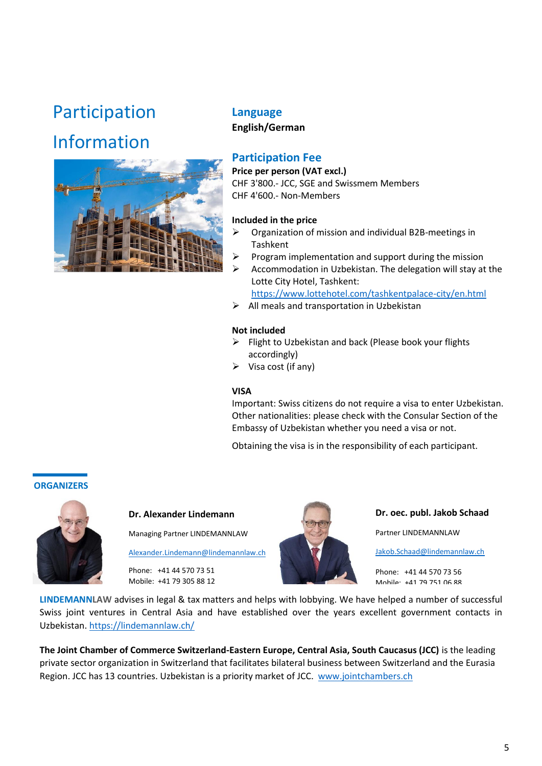## Participation

## Information



#### **Language English/German**

#### **Participation Fee**

**Price per person (VAT excl.)** CHF 3'800.- JCC, SGE and Swissmem Members CHF 4'600.- Non-Members

#### **Included in the price**

- $\triangleright$  Organization of mission and individual B2B-meetings in Tashkent
- $\triangleright$  Program implementation and support during the mission
- $\triangleright$  Accommodation in Uzbekistan. The delegation will stay at the Lotte City Hotel, Tashkent:

<https://www.lottehotel.com/tashkentpalace-city/en.html>

 $\triangleright$  All meals and transportation in Uzbekistan

#### **Not included**

- ➢ Flight to Uzbekistan and back (Please book your flights accordingly)
- $\triangleright$  Visa cost (if any)

#### **VISA**

Important: Swiss citizens do not require a visa to enter Uzbekistan. Other nationalities: please check with the Consular Section of the Embassy of Uzbekistan whether you need a visa or not.

Obtaining the visa is in the responsibility of each participant.

#### **ORGANIZERS**



**Dr. Alexander Lindemann**

Managing Partner LINDEMANNLAW

[Alexander.Lindemann@lindemannlaw.ch](mailto:Alexander.Lindemann@lindemannlaw.ch)

Phone: +41 44 570 73 51 Mobile: +41 79 305 88 12



**Dr. oec. publ. Jakob Schaad** Partner LINDEMANNLAW [Jakob.Schaad@lindemannlaw.ch](mailto:Jakob.Schaad@lindemannlaw.ch) Phone: +41 44 570 73 56 Mobile: +41 79 751 06 88

**LINDEMANNLAW** advises in legal & tax matters and helps with lobbying. We have helped a number of successful Swiss joint ventures in Central Asia and have established over the years excellent government contacts in Uzbekistan. <https://lindemannlaw.ch/>

**The Joint Chamber of Commerce Switzerland-Eastern Europe, Central Asia, South Caucasus (JCC)** is the leading private sector organization in Switzerland that facilitates bilateral business between Switzerland and the Eurasia Region. JCC has 13 countries. Uzbekistan is a priority market of JCC. www.jointchambers.ch